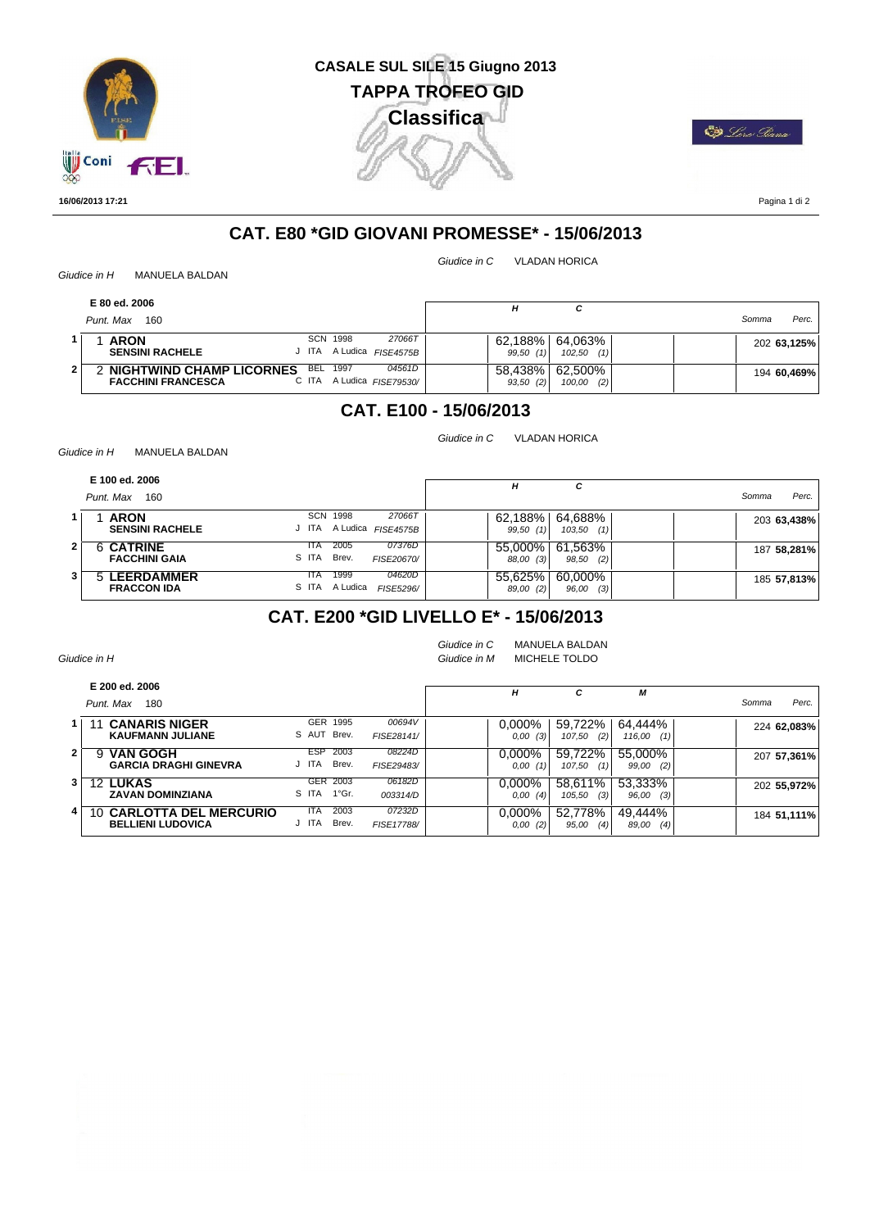

# **CASALE SUL SILE 15 Giugno 2013 Classifica TAPPA TROFEO GID**

**ED** Loro Giana

**16/06/2013 17:21**

Pagina 1 di 2

# **CAT. E80 \*GID GIOVANI PROMESSE\* - 15/06/2013**

*Giudice in C* VLADAN HORICA

*Giudice in C* VLADAN HORICA

*Giudice in H* MANUELA BALDAN

| E 80 ed. 2006                                                                            |                                                | н                   |                          |       |             |
|------------------------------------------------------------------------------------------|------------------------------------------------|---------------------|--------------------------|-------|-------------|
| Punt. Max<br>160                                                                         |                                                |                     |                          | Somma | Perc.       |
| SCN<br><b>ARON</b><br><b>SENSINI RACHELE</b><br>J ITA                                    | 27066T<br>1998<br>A Ludica<br><b>FISE4575B</b> | 62.188%<br>99,50(1) | 64,063%<br>102,50<br>(1) |       | 202 63,125% |
| <b>BEL 1997</b><br><b>NIGHTWIND CHAMP LICORNES</b><br><b>FACCHINI FRANCESCA</b><br>C ITA | 04561D<br>A Ludica FISE79530/                  | 58.438%<br>93,50(2) | 62,500%<br>(2)<br>100,00 |       | 194 60,469% |

# **CAT. E100 - 15/06/2013**

*Giudice in H* MANUELA BALDAN

| E 100 ed. 2006<br>Punt. Max<br>160         |               |                                               | н                    | c                        | Somma       | Perc. |
|--------------------------------------------|---------------|-----------------------------------------------|----------------------|--------------------------|-------------|-------|
| 1<br><b>ARON</b><br><b>SENSINI RACHELE</b> | SCN<br>J ITA  | 1998<br>27066T<br>A Ludica FISE4575B          | 62,188%<br>99,50(1)  | 64,688%<br>103,50<br>(1) | 203 63,438% |       |
| 6 CATRINE<br>2<br><b>FACCHINI GAIA</b>     | ITA.<br>S ITA | 2005<br>07376D<br>Brev.<br>FISE20670/         | 55.000%<br>88,00 (3) | 61,563%<br>98,50<br>(2)  | 187 58,281% |       |
| 3<br>5 LEERDAMMER<br><b>FRACCON IDA</b>    | ITA.          | 04620D<br>1999<br>S ITA A Ludica<br>FISE5296/ | 55.625%<br>89,00 (2) | 60.000%<br>(3)<br>96,00  | 185 57,813% |       |

### **CAT. E200 \*GID LIVELLO E\* - 15/06/2013**

|   | Giudice in H                                                   |                                      |                      | Giudice in C<br>Giudice in M |                      | <b>MANUELA BALDAN</b><br>MICHELE TOLDO |                          |                |
|---|----------------------------------------------------------------|--------------------------------------|----------------------|------------------------------|----------------------|----------------------------------------|--------------------------|----------------|
|   | E 200 ed. 2006<br>Punt, Max<br>180                             |                                      |                      |                              | H                    | с                                      | М                        | Perc.<br>Somma |
|   | <b>CANARIS NIGER</b><br><b>KAUFMANN JULIANE</b>                | <b>GER</b><br>1995<br>S AUT Brev.    | 00694V<br>FISE28141/ |                              | 0.000%<br>0,00(3)    | 59,722%<br>(2)<br>107,50               | 64,444%<br>116,00<br>(1) | 224 62.083%    |
| 2 | <b>VAN GOGH</b><br>9<br><b>GARCIA DRAGHI GINEVRA</b>           | <b>ESP</b><br>2003<br>Brev.<br>J ITA | 08224D<br>FISE29483/ |                              | $0.000\%$<br>0,00(1) | 59.722%<br>107,50<br>(1)               | 55,000%<br>99,00<br>(2)  | 207 57,361%    |
| 3 | <b>12 LUKAS</b><br><b>ZAVAN DOMINZIANA</b>                     | GER<br>2003<br>S ITA<br>1°Gr.        | 06182D<br>003314/D   |                              | $0.000\%$<br>0,00(4) | 58.611%<br>(3)<br>105,50               | 53,333%<br>96,00<br>(3)  | 202 55.972%    |
| 4 | <b>CARLOTTA DEL MERCURIO</b><br>10<br><b>BELLIENI LUDOVICA</b> | 2003<br>ITA<br>ITA<br>Brev.          | 07232D<br>FISE17788/ |                              | 0.000%<br>0,00(2)    | 52,778%<br>(4)<br>95,00                | 49,444%<br>89,00<br>(4)  | 184 51,111%    |